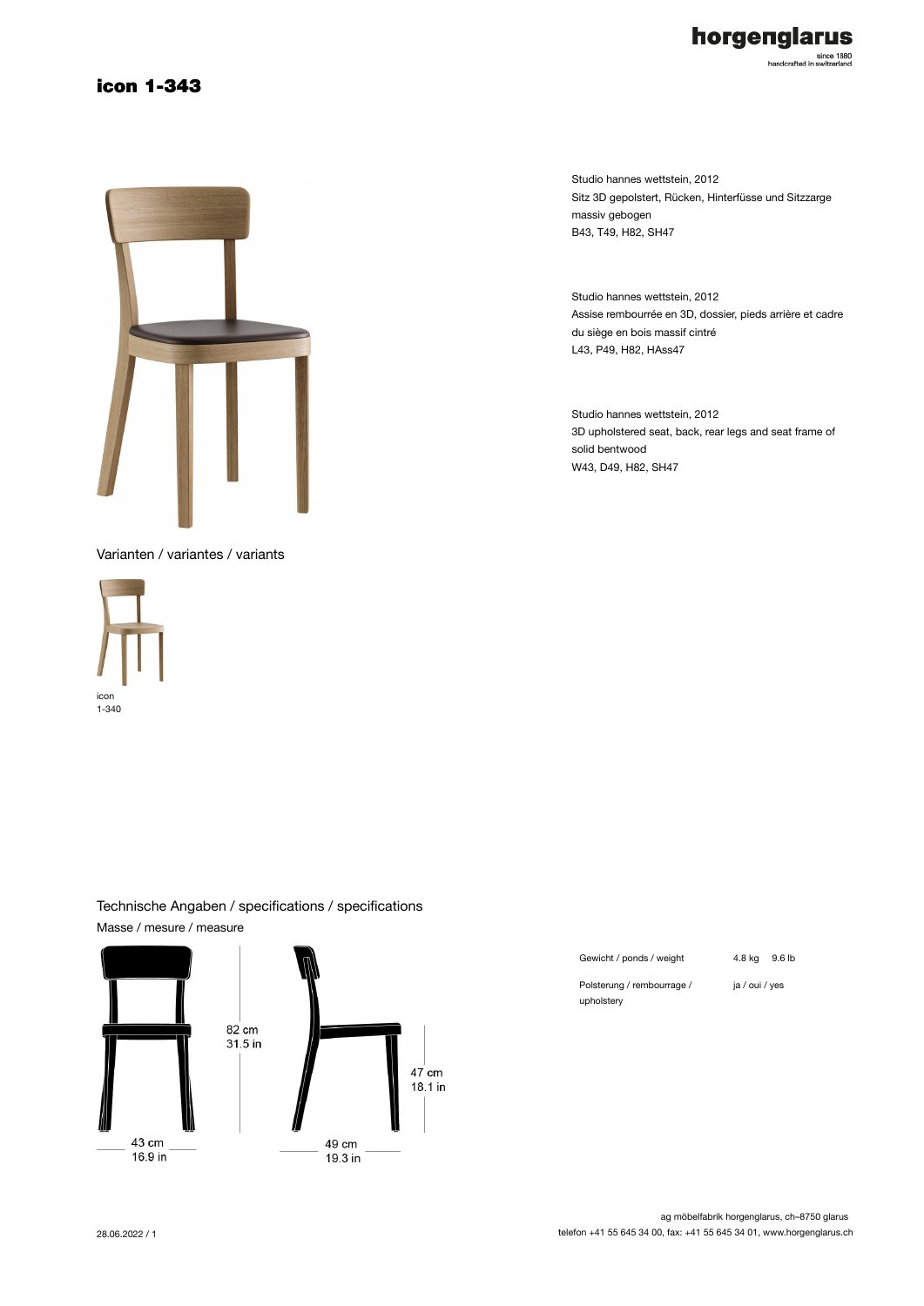### icon 1-343



Varianten / variantes / variants





horgenglarus

since 1880<br>handcrafted in switzerland

Studio hannes wettstein, 2012 Assise rembourrée en 3D, dossier, pieds arrière et cadre du siège en bois massif cintré L43, P49, H82, HAss47

Studio hannes wettstein, 2012 3D upholstered seat, back, rear legs and seat frame of solid bentwood W43, D49, H82, SH47

#### Technische Angaben / specifications / specifications Masse / mesure / measure



| Gewicht / ponds / weight   | 4.8 ka         | 9.6 lb |
|----------------------------|----------------|--------|
| Polsterung / rembourrage / | ja / oui / yes |        |

upholstery